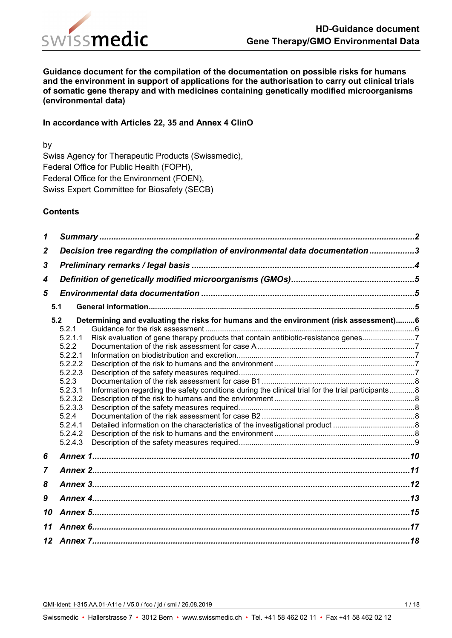

**Guidance document for the compilation of the documentation on possible risks for humans and the environment in support of applications for the authorisation to carry out clinical trials of somatic gene therapy and with medicines containing genetically modified microorganisms (environmental data)**

### **In accordance with Articles 22, 35 and Annex 4 ClinO**

by Swiss Agency for Therapeutic Products (Swissmedic), Federal Office for Public Health (FOPH), Federal Office for the Environment (FOEN), Swiss Expert Committee for Biosafety (SECB)

#### **Contents**

| 1                |                                                                              |                                                                                                   |  |  |  |  |
|------------------|------------------------------------------------------------------------------|---------------------------------------------------------------------------------------------------|--|--|--|--|
| $\boldsymbol{2}$ | Decision tree regarding the compilation of environmental data documentation3 |                                                                                                   |  |  |  |  |
| 3                |                                                                              |                                                                                                   |  |  |  |  |
| 4                |                                                                              |                                                                                                   |  |  |  |  |
| 5                |                                                                              |                                                                                                   |  |  |  |  |
|                  | 5.1                                                                          |                                                                                                   |  |  |  |  |
|                  | 5.2                                                                          | Determining and evaluating the risks for humans and the environment (risk assessment)6            |  |  |  |  |
|                  | 5.2.1                                                                        |                                                                                                   |  |  |  |  |
|                  | 5.2.1.1                                                                      | Risk evaluation of gene therapy products that contain antibiotic-resistance genes7                |  |  |  |  |
|                  | 5.2.2                                                                        |                                                                                                   |  |  |  |  |
|                  | 5.2.2.1                                                                      |                                                                                                   |  |  |  |  |
|                  | 5.2.2.2                                                                      |                                                                                                   |  |  |  |  |
|                  | 5.2.2.3                                                                      |                                                                                                   |  |  |  |  |
|                  | 5.2.3                                                                        |                                                                                                   |  |  |  |  |
|                  | 5.2.3.1                                                                      | Information regarding the safety conditions during the clinical trial for the trial participants8 |  |  |  |  |
|                  | 5.2.3.2                                                                      |                                                                                                   |  |  |  |  |
|                  | 5.2.3.3                                                                      |                                                                                                   |  |  |  |  |
|                  | 5.2.4                                                                        |                                                                                                   |  |  |  |  |
|                  | 5.2.4.1                                                                      |                                                                                                   |  |  |  |  |
|                  | 5.2.4.2                                                                      |                                                                                                   |  |  |  |  |
|                  | 5.2.4.3                                                                      |                                                                                                   |  |  |  |  |
| 6                |                                                                              |                                                                                                   |  |  |  |  |
| $\overline{7}$   |                                                                              |                                                                                                   |  |  |  |  |
| 8                |                                                                              |                                                                                                   |  |  |  |  |
| 9                |                                                                              |                                                                                                   |  |  |  |  |
| 10               |                                                                              |                                                                                                   |  |  |  |  |
| 11               |                                                                              |                                                                                                   |  |  |  |  |
|                  |                                                                              |                                                                                                   |  |  |  |  |
|                  |                                                                              |                                                                                                   |  |  |  |  |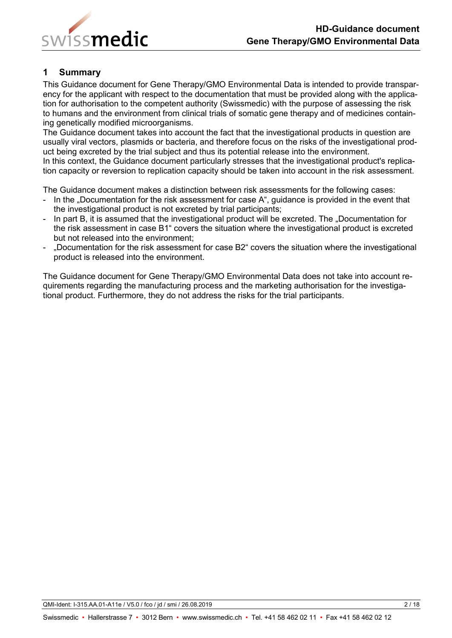

## <span id="page-1-0"></span>**1 Summary**

This Guidance document for Gene Therapy/GMO Environmental Data is intended to provide transparency for the applicant with respect to the documentation that must be provided along with the application for authorisation to the competent authority (Swissmedic) with the purpose of assessing the risk to humans and the environment from clinical trials of somatic gene therapy and of medicines containing genetically modified microorganisms.

The Guidance document takes into account the fact that the investigational products in question are usually viral vectors, plasmids or bacteria, and therefore focus on the risks of the investigational product being excreted by the trial subject and thus its potential release into the environment. In this context, the Guidance document particularly stresses that the investigational product's replication capacity or reversion to replication capacity should be taken into account in the risk assessment.

The Guidance document makes a distinction between risk assessments for the following cases:

- In the "Documentation for the risk assessment for case A", guidance is provided in the event that the investigational product is not excreted by trial participants;
- In part B, it is assumed that the investigational product will be excreted. The "Documentation for the risk assessment in case B1" covers the situation where the investigational product is excreted but not released into the environment;
- "Documentation for the risk assessment for case B2" covers the situation where the investigational product is released into the environment.

The Guidance document for Gene Therapy/GMO Environmental Data does not take into account requirements regarding the manufacturing process and the marketing authorisation for the investigational product. Furthermore, they do not address the risks for the trial participants.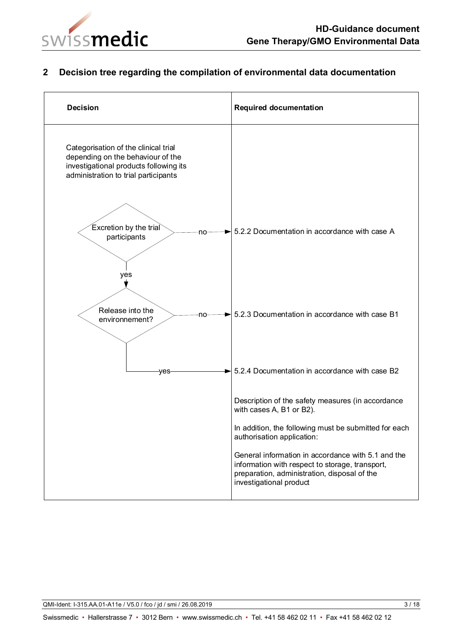

# <span id="page-2-0"></span>**2 Decision tree regarding the compilation of environmental data documentation**

| <b>Decision</b>                                                                                                                                             | <b>Required documentation</b>                                                                                                                                                                                                                                                                                                                            |
|-------------------------------------------------------------------------------------------------------------------------------------------------------------|----------------------------------------------------------------------------------------------------------------------------------------------------------------------------------------------------------------------------------------------------------------------------------------------------------------------------------------------------------|
| Categorisation of the clinical trial<br>depending on the behaviour of the<br>investigational products following its<br>administration to trial participants |                                                                                                                                                                                                                                                                                                                                                          |
| Excretion by the trial<br>no<br>participants                                                                                                                | 5.2.2 Documentation in accordance with case A                                                                                                                                                                                                                                                                                                            |
| yes<br>Release into the<br>-no-<br>environnement?                                                                                                           | 5.2.3 Documentation in accordance with case B1                                                                                                                                                                                                                                                                                                           |
| yes                                                                                                                                                         | 5.2.4 Documentation in accordance with case B2                                                                                                                                                                                                                                                                                                           |
|                                                                                                                                                             | Description of the safety measures (in accordance<br>with cases A, B1 or B2).<br>In addition, the following must be submitted for each<br>authorisation application:<br>General information in accordance with 5.1 and the<br>information with respect to storage, transport,<br>preparation, administration, disposal of the<br>investigational product |

QMI-Ident: I-315.AA.01-A11e / V5.0 / fco / jd / smi / 26.08.2019 3 / 3 / 3 / 3 / 18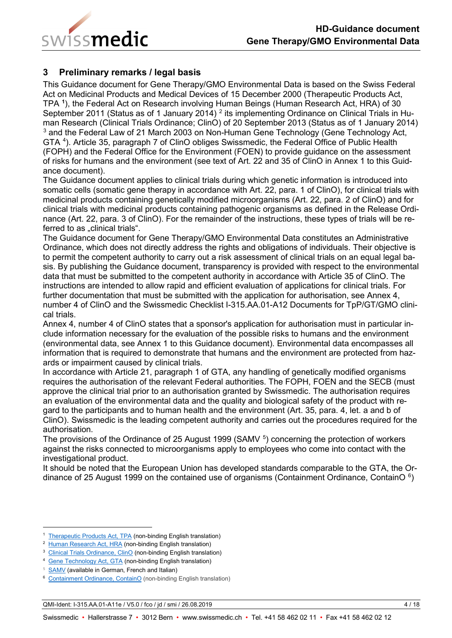

## <span id="page-3-0"></span>**3 Preliminary remarks / legal basis**

This Guidance document for Gene Therapy/GMO Environmental Data is based on the Swiss Federal Act on Medicinal Products and Medical Devices of 15 December 2000 (Therapeutic Products Act, TPA **[1](#page-3-1)** ), the Federal Act on Research involving Human Beings (Human Research Act, HRA) of 30 September [2](#page-3-2)011 (Status as of 1 January 2014) <sup>2</sup> its implementing Ordinance on Clinical Trials in Human Research (Clinical Trials Ordinance; ClinO) of 20 September 2013 (Status as of 1 January 2014) <sup>[3](#page-3-3)</sup> and the Federal Law of 21 March 2003 on Non-Human Gene Technology (Gene Technology Act, GTA<sup>[4](#page-3-4)</sup>). Article 35, paragraph 7 of ClinO obliges Swissmedic, the Federal Office of Public Health (FOPH) and the Federal Office for the Environment (FOEN) to provide guidance on the assessment of risks for humans and the environment (see text of Art. 22 and 35 of ClinO in Annex 1 to this Guidance document).

The Guidance document applies to clinical trials during which genetic information is introduced into somatic cells (somatic gene therapy in accordance with Art. 22, para. 1 of ClinO), for clinical trials with medicinal products containing genetically modified microorganisms (Art. 22, para. 2 of ClinO) and for clinical trials with medicinal products containing pathogenic organisms as defined in the Release Ordinance (Art. 22, para. 3 of ClinO). For the remainder of the instructions, these types of trials will be referred to as "clinical trials".

The Guidance document for Gene Therapy/GMO Environmental Data constitutes an Administrative Ordinance, which does not directly address the rights and obligations of individuals. Their objective is to permit the competent authority to carry out a risk assessment of clinical trials on an equal legal basis. By publishing the Guidance document, transparency is provided with respect to the environmental data that must be submitted to the competent authority in accordance with Article 35 of ClinO. The instructions are intended to allow rapid and efficient evaluation of applications for clinical trials. For further documentation that must be submitted with the application for authorisation, see Annex 4, number 4 of ClinO and the Swissmedic Checklist I-315.AA.01-A12 Documents for TpP/GT/GMO clinical trials.

Annex 4, number 4 of ClinO states that a sponsor's application for authorisation must in particular include information necessary for the evaluation of the possible risks to humans and the environment (environmental data, see [Annex 1](file://adb.intra.admin.ch/Userhome$/SMC-01/X10190171/config/Desktop/Bearbeitung%20QMI/I-315.AA.01-A11e_Wegleitung_Gentherapie_GVO_Umweltdaten-alt.docx#anhang1) to this Guidance document). Environmental data encompasses all information that is required to demonstrate that humans and the environment are protected from hazards or impairment caused by clinical trials.

In accordance with Article 21, paragraph 1 of GTA, any handling of genetically modified organisms requires the authorisation of the relevant Federal authorities. The FOPH, FOEN and the SECB (must approve the clinical trial prior to an authorisation granted by Swissmedic. The authorisation requires an evaluation of the environmental data and the quality and biological safety of the product with regard to the participants and to human health and the environment (Art. 35, para. 4, let. a and b of ClinO). Swissmedic is the leading competent authority and carries out the procedures required for the authorisation.

The provisions of the Ordinance of 2[5](#page-3-5) August 1999 (SAMV <sup>5</sup>) concerning the protection of workers against the risks connected to microorganisms apply to employees who come into contact with the investigational product.

It should be noted that the European Union has developed standards comparable to the GTA, the Ordinance of 25 August 1999 on the contained use of organisms (Containment Ordinance, ContainO  $6$ )

QMI-Ident: I-315.AA.01-A11e / V5.0 / fco / jd / smi / 26.08.2019 4 / 18

<span id="page-3-1"></span> <sup>1</sup> [Therapeutic Products Act, TPA](https://www.admin.ch/opc/en/classified-compilation/20002716/index.html) (non-binding English translation)

<span id="page-3-2"></span><sup>2</sup> [Human Research Act, HRA](http://www.admin.ch/ch/e/rs/8/810.30.en.pdf) (non-binding English translation)

<span id="page-3-3"></span><sup>&</sup>lt;sup>3</sup> [Clinical Trials Ordinance, ClinO](https://www.admin.ch/opc/de/classified-compilation/20121176/index.html) (non-binding English translation)

<span id="page-3-4"></span><sup>4</sup> [Gene Technology Act, GTA](https://www.admin.ch/opc/en/classified-compilation/19996136/index.html) (non-binding English translation)

<span id="page-3-5"></span><sup>&</sup>lt;sup>5</sup> [SAMV](http://www.admin.ch/ch/d/sr/8/832.321.de.pdf) (available in German, French and Italian)

<span id="page-3-6"></span><sup>6</sup> [Containment Ordinance, ContainO](https://www.admin.ch/opc/en/classified-compilation/20100803/index.html) (non-binding English translation)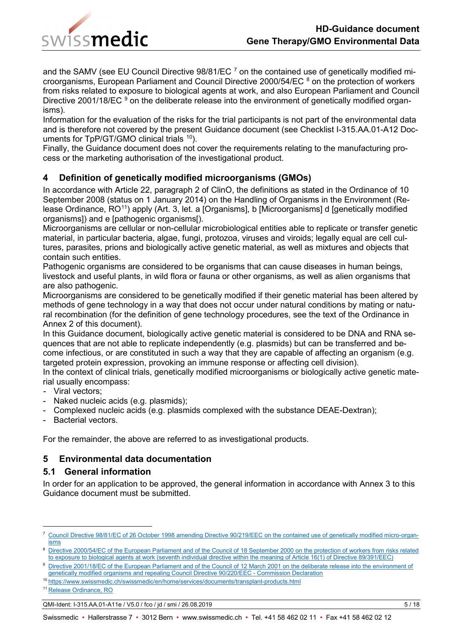

and the SAMV (see EU Council Directive  $98/81/EC$ <sup>[7](#page-4-3)</sup> on the contained use of genetically modified microorganisms, European Parliament and Council Directive 2000/54/EC [8](#page-4-4) on the protection of workers from risks related to exposure to biological agents at work, and also European Parliament and Council Directive 2001/18/EC <sup>[9](#page-4-5)</sup> on the deliberate release into the environment of genetically modified organisms).

Information for the evaluation of the risks for the trial participants is not part of the environmental data and is therefore not covered by the present Guidance document (see Checklist I-315.AA.01-A12 Doc-uments for TpP/GT/GMO clinical trials <sup>[10](#page-4-6)</sup>).

Finally, the Guidance document does not cover the requirements relating to the manufacturing process or the marketing authorisation of the investigational product.

## <span id="page-4-0"></span>**4 Definition of genetically modified microorganisms (GMOs)**

In accordance with Article 22, paragraph 2 of ClinO, the definitions as stated in the Ordinance of 10 September 2008 (status on 1 January 2014) on the Handling of Organisms in the Environment (Release Ordinance, RO<sup>11</sup>) apply (Art. 3, let. a [Organisms], b [Microorganisms] d [genetically modified organisms]) and e [pathogenic organisms[).

Microorganisms are cellular or non-cellular microbiological entities able to replicate or transfer genetic material, in particular bacteria, algae, fungi, protozoa, viruses and viroids; legally equal are cell cultures, parasites, prions and biologically active genetic material, as well as mixtures and objects that contain such entities.

Pathogenic organisms are considered to be organisms that can cause diseases in human beings, livestock and useful plants, in wild flora or fauna or other organisms, as well as alien organisms that are also pathogenic.

Microorganisms are considered to be genetically modified if their genetic material has been altered by methods of gene technology in a way that does not occur under natural conditions by mating or natural recombination (for the definition of gene technology procedures, see the text of the Ordinance in Annex 2 of this document).

In this Guidance document, biologically active genetic material is considered to be DNA and RNA sequences that are not able to replicate independently (e.g. plasmids) but can be transferred and become infectious, or are constituted in such a way that they are capable of affecting an organism (e.g. targeted protein expression, provoking an immune response or affecting cell division).

In the context of clinical trials, genetically modified microorganisms or biologically active genetic material usually encompass:

- Viral vectors;
- Naked nucleic acids (e.g. plasmids);
- Complexed nucleic acids (e.g. plasmids complexed with the substance DEAE-Dextran);
- Bacterial vectors.

For the remainder, the above are referred to as investigational products.

### <span id="page-4-1"></span>**5 Environmental data documentation**

### <span id="page-4-2"></span>**5.1 General information**

In order for an application to be approved, the general information in accordance with [Annex 3](file://adb.intra.admin.ch/Userhome$/SMC-01/X10190171/config/Desktop/Bearbeitung%20QMI/I-315.AA.01-A11e_Wegleitung_Gentherapie_GVO_Umweltdaten-alt.docx#anhang3) to this Guidance document must be submitted.

QMI-Ident: I-315.AA.01-A11e / V5.0 / fco / jd / smi / 26.08.2019 5 / 18

<span id="page-4-3"></span> <sup>7</sup> [Council Directive 98/81/EC of 26 October 1998 amending Directive 90/219/EEC on the contained use of genetically modified micro-organ](https://eur-lex.europa.eu/legal-content/EN/TXT/HTML/?uri=CELEX:31998L0081&from=EN)[isms](https://eur-lex.europa.eu/legal-content/EN/TXT/HTML/?uri=CELEX:31998L0081&from=EN)

<span id="page-4-4"></span><sup>8</sup> Directive 2000/54/EC of the [European Parliament and of the Council of 18 September 2000 on the protection of workers from risks related](http://eur-lex.europa.eu/LexUriServ/LexUriServ.do?uri=CELEX:32000L0054:EN:HTML)  [to exposure to biological agents at work \(seventh individual directive within the meaning of Article 16\(1\) of Directive 89/391/EEC\)](http://eur-lex.europa.eu/LexUriServ/LexUriServ.do?uri=CELEX:32000L0054:EN:HTML)

<span id="page-4-5"></span><sup>9</sup> [Directive 2001/18/EC of the European Parliament and of the Council of 12 March 2001 on the deliberate release into the environment of](https://eur-lex.europa.eu/legal-content/en/TXT/HTML/?uri=CELEX:32001L0018&from=en)  [genetically modified organisms and repealing Council Directive 90/220/EEC -](https://eur-lex.europa.eu/legal-content/en/TXT/HTML/?uri=CELEX:32001L0018&from=en) Commission Declaration

<span id="page-4-6"></span><sup>10</sup> <https://www.swissmedic.ch/swissmedic/en/home/services/documents/transplant-products.html>

<span id="page-4-7"></span><sup>11</sup> [Release Ordinance, RO](http://www.admin.ch/ch/e/rs/8/814.911.en.pdf)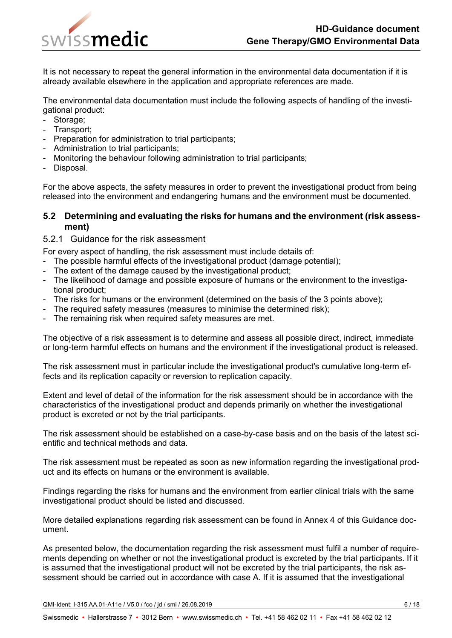

It is not necessary to repeat the general information in the environmental data documentation if it is already available elsewhere in the application and appropriate references are made.

The environmental data documentation must include the following aspects of handling of the investigational product:

- Storage;
- Transport;
- Preparation for administration to trial participants;
- Administration to trial participants;
- Monitoring the behaviour following administration to trial participants;
- Disposal.

For the above aspects, the safety measures in order to prevent the investigational product from being released into the environment and endangering humans and the environment must be documented.

### <span id="page-5-0"></span>**5.2 Determining and evaluating the risks for humans and the environment (risk assessment)**

### <span id="page-5-1"></span>5.2.1 Guidance for the risk assessment

For every aspect of handling, the risk assessment must include details of:

- The possible harmful effects of the investigational product (damage potential);
- The extent of the damage caused by the investigational product;
- The likelihood of damage and possible exposure of humans or the environment to the investigational product;
- The risks for humans or the environment (determined on the basis of the 3 points above);
- The required safety measures (measures to minimise the determined risk);
- The remaining risk when required safety measures are met.

The objective of a risk assessment is to determine and assess all possible direct, indirect, immediate or long-term harmful effects on humans and the environment if the investigational product is released.

The risk assessment must in particular include the investigational product's cumulative long-term effects and its replication capacity or reversion to replication capacity.

Extent and level of detail of the information for the risk assessment should be in accordance with the characteristics of the investigational product and depends primarily on whether the investigational product is excreted or not by the trial participants.

The risk assessment should be established on a case-by-case basis and on the basis of the latest scientific and technical methods and data.

The risk assessment must be repeated as soon as new information regarding the investigational product and its effects on humans or the environment is available.

Findings regarding the risks for humans and the environment from earlier clinical trials with the same investigational product should be listed and discussed.

More detailed explanations regarding risk assessment can be found in [Annex 4](file://adb.intra.admin.ch/Userhome$/SMC-01/X10190171/config/Desktop/Bearbeitung%20QMI/I-315.AA.01-A11e_Wegleitung_Gentherapie_GVO_Umweltdaten-alt.docx#anhang4) of this Guidance document.

As presented below, the documentation regarding the risk assessment must fulfil a number of requirements depending on whether or not the investigational product is excreted by the trial participants. If it is assumed that the investigational product will not be excreted by the trial participants, the risk assessment should be carried out in accordance with case A. If it is assumed that the investigational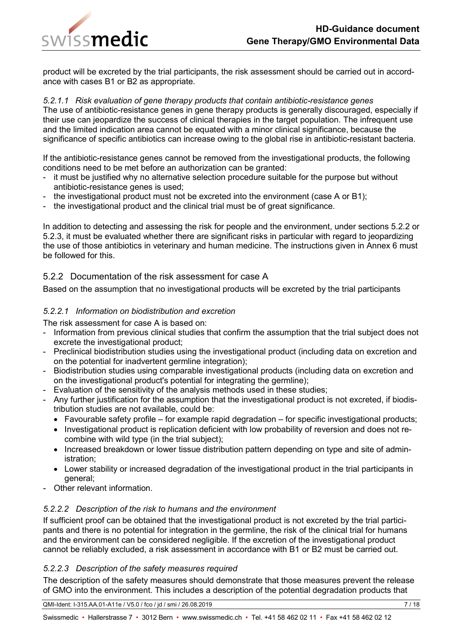

product will be excreted by the trial participants, the risk assessment should be carried out in accordance with cases B1 or B2 as appropriate.

#### <span id="page-6-0"></span>*5.2.1.1 Risk evaluation of gene therapy products that contain antibiotic-resistance genes*

The use of antibiotic-resistance genes in gene therapy products is generally discouraged, especially if their use can jeopardize the success of clinical therapies in the target population. The infrequent use and the limited indication area cannot be equated with a minor clinical significance, because the significance of specific antibiotics can increase owing to the global rise in antibiotic-resistant bacteria.

If the antibiotic-resistance genes cannot be removed from the investigational products, the following conditions need to be met before an authorization can be granted:

- it must be justified why no alternative selection procedure suitable for the purpose but without antibiotic-resistance genes is used;
- the investigational product must not be excreted into the environment (case A or B1);
- the investigational product and the clinical trial must be of great significance.

In addition to detecting and assessing the risk for people and the environment, under sections 5.2.2 or 5.2.3, it must be evaluated whether there are significant risks in particular with regard to jeopardizing the use of those antibiotics in veterinary and human medicine. The instructions given in Annex 6 must be followed for this.

### <span id="page-6-1"></span>5.2.2 Documentation of the risk assessment for case A

Based on the assumption that no investigational products will be excreted by the trial participants

### <span id="page-6-2"></span>*5.2.2.1 Information on biodistribution and excretion*

The risk assessment for case A is based on:

- Information from previous clinical studies that confirm the assumption that the trial subject does not excrete the investigational product;
- Preclinical biodistribution studies using the investigational product (including data on excretion and on the potential for inadvertent germline integration);
- Biodistribution studies using comparable investigational products (including data on excretion and on the investigational product's potential for integrating the germline);
- Evaluation of the sensitivity of the analysis methods used in these studies;
- Any further justification for the assumption that the investigational product is not excreted, if biodistribution studies are not available, could be:
	- $\bullet$  Favourable safety profile for example rapid degradation for specific investigational products;
	- Investigational product is replication deficient with low probability of reversion and does not recombine with wild type (in the trial subject);
	- Increased breakdown or lower tissue distribution pattern depending on type and site of administration;
	- Lower stability or increased degradation of the investigational product in the trial participants in general;
- Other relevant information.

### <span id="page-6-3"></span>*5.2.2.2 Description of the risk to humans and the environment*

If sufficient proof can be obtained that the investigational product is not excreted by the trial participants and there is no potential for integration in the germline, the risk of the clinical trial for humans and the environment can be considered negligible. If the excretion of the investigational product cannot be reliably excluded, a risk assessment in accordance with B1 or B2 must be carried out.

### <span id="page-6-4"></span>*5.2.2.3 Description of the safety measures required*

The description of the safety measures should demonstrate that those measures prevent the release of GMO into the environment. This includes a description of the potential degradation products that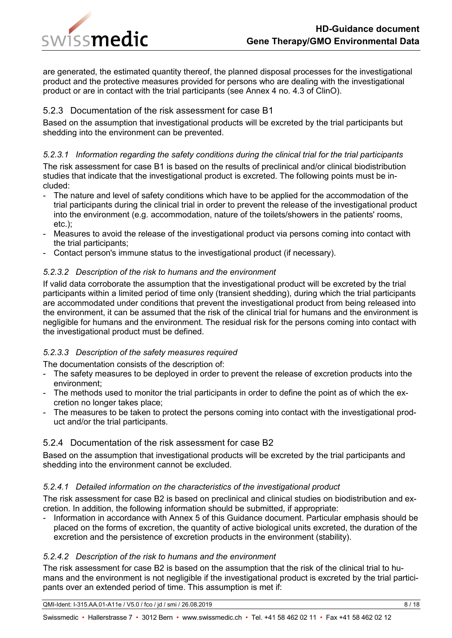

are generated, the estimated quantity thereof, the planned disposal processes for the investigational product and the protective measures provided for persons who are dealing with the investigational product or are in contact with the trial participants (see Annex 4 no. 4.3 of ClinO).

## <span id="page-7-0"></span>5.2.3 Documentation of the risk assessment for case B1

Based on the assumption that investigational products will be excreted by the trial participants but shedding into the environment can be prevented.

### <span id="page-7-1"></span>*5.2.3.1 Information regarding the safety conditions during the clinical trial for the trial participants*

The risk assessment for case B1 is based on the results of preclinical and/or clinical biodistribution studies that indicate that the investigational product is excreted. The following points must be included:

- The nature and level of safety conditions which have to be applied for the accommodation of the trial participants during the clinical trial in order to prevent the release of the investigational product into the environment (e.g. accommodation, nature of the toilets/showers in the patients' rooms, etc.);
- Measures to avoid the release of the investigational product via persons coming into contact with the trial participants;
- Contact person's immune status to the investigational product (if necessary).

### <span id="page-7-2"></span>*5.2.3.2 Description of the risk to humans and the environment*

If valid data corroborate the assumption that the investigational product will be excreted by the trial participants within a limited period of time only (transient shedding), during which the trial participants are accommodated under conditions that prevent the investigational product from being released into the environment, it can be assumed that the risk of the clinical trial for humans and the environment is negligible for humans and the environment. The residual risk for the persons coming into contact with the investigational product must be defined.

### <span id="page-7-3"></span>*5.2.3.3 Description of the safety measures required*

The documentation consists of the description of:

- The safety measures to be deployed in order to prevent the release of excretion products into the environment;
- The methods used to monitor the trial participants in order to define the point as of which the excretion no longer takes place;
- The measures to be taken to protect the persons coming into contact with the investigational product and/or the trial participants.

### <span id="page-7-4"></span>5.2.4 Documentation of the risk assessment for case B2

Based on the assumption that investigational products will be excreted by the trial participants and shedding into the environment cannot be excluded.

### <span id="page-7-5"></span>*5.2.4.1 Detailed information on the characteristics of the investigational product*

The risk assessment for case B2 is based on preclinical and clinical studies on biodistribution and excretion. In addition, the following information should be submitted, if appropriate:

- Information in accordance with [Annex 5](file://adb.intra.admin.ch/Userhome$/SMC-01/X10190171/config/Desktop/Bearbeitung%20QMI/I-315.AA.01-A11e_Wegleitung_Gentherapie_GVO_Umweltdaten-alt.docx#anhang5) of this Guidance document. Particular emphasis should be placed on the forms of excretion, the quantity of active biological units excreted, the duration of the excretion and the persistence of excretion products in the environment (stability).

### <span id="page-7-6"></span>*5.2.4.2 Description of the risk to humans and the environment*

The risk assessment for case B2 is based on the assumption that the risk of the clinical trial to humans and the environment is not negligible if the investigational product is excreted by the trial participants over an extended period of time. This assumption is met if:

QMI-Ident: I-315.AA.01-A11e / V5.0 / fco / jd / smi / 26.08.2019 8 / 18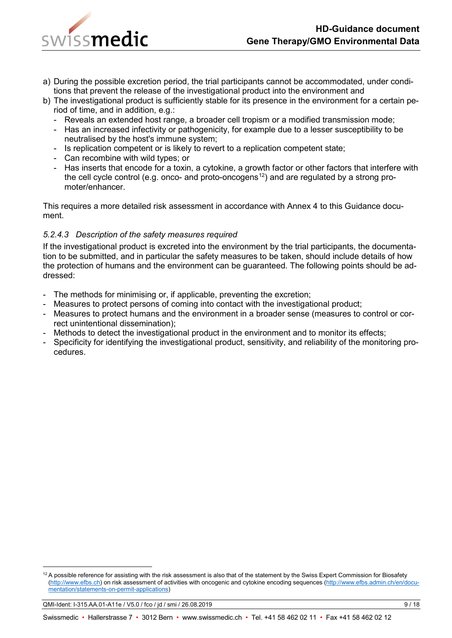

- a) During the possible excretion period, the trial participants cannot be accommodated, under conditions that prevent the release of the investigational product into the environment and
- b) The investigational product is sufficiently stable for its presence in the environment for a certain period of time, and in addition, e.g.:
	- Reveals an extended host range, a broader cell tropism or a modified transmission mode;
	- Has an increased infectivity or pathogenicity, for example due to a lesser susceptibility to be neutralised by the host's immune system;
	- Is replication competent or is likely to revert to a replication competent state;
	- Can recombine with wild types; or
	- Has inserts that encode for a toxin, a cytokine, a growth factor or other factors that interfere with the cell cycle control (e.g. onco- and proto-oncogens<sup>12</sup>) and are regulated by a strong promoter/enhancer.

This requires a more detailed risk assessment in accordance with [Annex 4](file://adb.intra.admin.ch/Userhome$/SMC-01/X10190171/config/Desktop/Bearbeitung%20QMI/I-315.AA.01-A11e_Wegleitung_Gentherapie_GVO_Umweltdaten-alt.docx#anhang4) to this Guidance document.

### <span id="page-8-0"></span>*5.2.4.3 Description of the safety measures required*

If the investigational product is excreted into the environment by the trial participants, the documentation to be submitted, and in particular the safety measures to be taken, should include details of how the protection of humans and the environment can be guaranteed. The following points should be addressed:

- The methods for minimising or, if applicable, preventing the excretion;
- Measures to protect persons of coming into contact with the investigational product;
- Measures to protect humans and the environment in a broader sense (measures to control or correct unintentional dissemination);
- Methods to detect the investigational product in the environment and to monitor its effects;
- Specificity for identifying the investigational product, sensitivity, and reliability of the monitoring procedures.

<span id="page-8-1"></span> $12$  A possible reference for assisting with the risk assessment is also that of the statement by the Swiss Expert Commission for Biosafety [\(http://www.efbs.ch\)](http://www.efbs.ch/) on risk assessment of activities with oncogenic and cytokine encoding sequences [\(http://www.efbs.admin.ch/en/docu](http://www.efbs.admin.ch/en/documentation/statements-on-permit-applications/closed-system/index.html)[mentation/statements-on-permit-applications\)](http://www.efbs.admin.ch/en/documentation/statements-on-permit-applications/closed-system/index.html)

QMI-Ident: I-315.AA.01-A11e / V5.0 / fco / jd / smi / 26.08.2019 9 / 18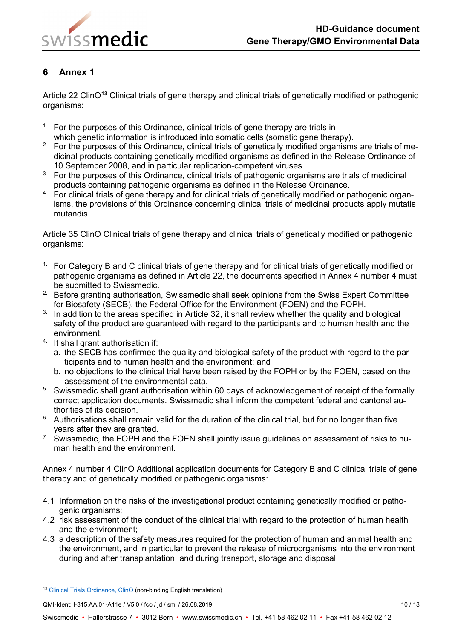

<span id="page-9-0"></span>Article 22 ClinO**[13](#page-9-1)** Clinical trials of gene therapy and clinical trials of genetically modified or pathogenic organisms:

- <sup>1</sup> For the purposes of this Ordinance, clinical trials of gene therapy are trials in which genetic information is introduced into somatic cells (somatic gene therapy).
- <sup>2</sup> For the purposes of this Ordinance, clinical trials of genetically modified organisms are trials of medicinal products containing genetically modified organisms as defined in the Release Ordinance of 10 September 2008, and in particular replication-competent viruses.
- $3$  For the purposes of this Ordinance, clinical trials of pathogenic organisms are trials of medicinal products containing pathogenic organisms as defined in the Release Ordinance.
- <sup>4</sup> For clinical trials of gene therapy and for clinical trials of genetically modified or pathogenic organisms, the provisions of this Ordinance concerning clinical trials of medicinal products apply mutatis mutandis

Article 35 ClinO Clinical trials of gene therapy and clinical trials of genetically modified or pathogenic organisms:

- <sup>1.</sup> For Category B and C clinical trials of gene therapy and for clinical trials of genetically modified or pathogenic organisms as defined in Article 22, the documents specified in Annex 4 number 4 must be submitted to Swissmedic.
- <sup>2.</sup> Before granting authorisation, Swissmedic shall seek opinions from the Swiss Expert Committee for Biosafety (SECB), the Federal Office for the Environment (FOEN) and the FOPH.
- $3$ . In addition to the areas specified in Article 32, it shall review whether the quality and biological safety of the product are guaranteed with regard to the participants and to human health and the environment.
- 4. It shall grant authorisation if:
	- a. the SECB has confirmed the quality and biological safety of the product with regard to the participants and to human health and the environment; and
	- b. no objections to the clinical trial have been raised by the FOPH or by the FOEN, based on the assessment of the environmental data.
- <sup>5.</sup> Swissmedic shall grant authorisation within 60 days of acknowledgement of receipt of the formally correct application documents. Swissmedic shall inform the competent federal and cantonal authorities of its decision.
- 6. Authorisations shall remain valid for the duration of the clinical trial, but for no longer than five years after they are granted.
- $\frac{7}{10}$  Swissmedic, the FOPH and the FOEN shall jointly issue guidelines on assessment of risks to human health and the environment.

Annex 4 number 4 ClinO Additional application documents for Category B and C clinical trials of gene therapy and of genetically modified or pathogenic organisms:

- 4.1 Information on the risks of the investigational product containing genetically modified or pathogenic organisms;
- 4.2 risk assessment of the conduct of the clinical trial with regard to the protection of human health and the environment;
- 4.3 a description of the safety measures required for the protection of human and animal health and the environment, and in particular to prevent the release of microorganisms into the environment during and after transplantation, and during transport, storage and disposal.

<span id="page-9-1"></span><sup>&</sup>lt;sup>13</sup> [Clinical Trials Ordinance, ClinO](http://www.admin.ch/ch/e/rs/8/810.305.en.pdf) (non-binding English translation)

QMI-Ident: I-315.AA.01-A11e / V5.0 / fco / jd / smi / 26.08.2019 10 / 18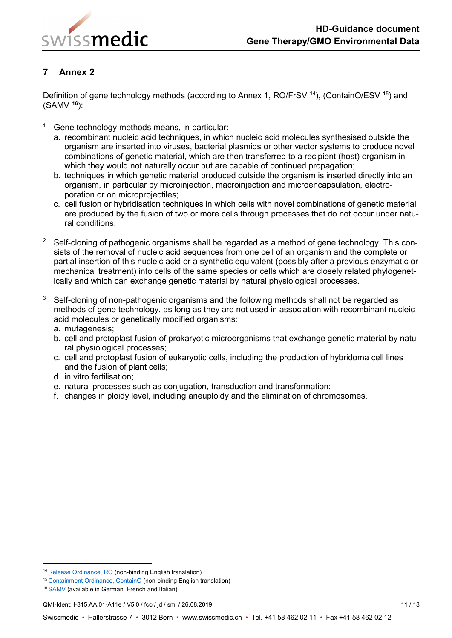

<span id="page-10-0"></span>Definition of gene technology methods (according to Annex 1, RO/FrSV <sup>14</sup>), (ContainO/ESV <sup>[15](#page-10-2)</sup>) and (SAMV **[16](#page-10-3)**):

- $1$  Gene technology methods means, in particular:
	- a. recombinant nucleic acid techniques, in which nucleic acid molecules synthesised outside the organism are inserted into viruses, bacterial plasmids or other vector systems to produce novel combinations of genetic material, which are then transferred to a recipient (host) organism in which they would not naturally occur but are capable of continued propagation;
	- b. techniques in which genetic material produced outside the organism is inserted directly into an organism, in particular by microinjection, macroinjection and microencapsulation, electroporation or on microprojectiles;
	- c. cell fusion or hybridisation techniques in which cells with novel combinations of genetic material are produced by the fusion of two or more cells through processes that do not occur under natural conditions.
- <sup>2</sup> Self-cloning of pathogenic organisms shall be regarded as a method of gene technology. This consists of the removal of nucleic acid sequences from one cell of an organism and the complete or partial insertion of this nucleic acid or a synthetic equivalent (possibly after a previous enzymatic or mechanical treatment) into cells of the same species or cells which are closely related phylogenetically and which can exchange genetic material by natural physiological processes.
- $3$  Self-cloning of non-pathogenic organisms and the following methods shall not be regarded as methods of gene technology, as long as they are not used in association with recombinant nucleic acid molecules or genetically modified organisms:
	- a. mutagenesis;
	- b. cell and protoplast fusion of prokaryotic microorganisms that exchange genetic material by natural physiological processes;
	- c. cell and protoplast fusion of eukaryotic cells, including the production of hybridoma cell lines and the fusion of plant cells;
	- d. in vitro fertilisation;
	- e. natural processes such as conjugation, transduction and transformation;
	- f. changes in ploidy level, including aneuploidy and the elimination of chromosomes.

QMI-Ident: I-315.AA.01-A11e / V5.0 / fco / jd / smi / 26.08.2019 11 / 18

<span id="page-10-1"></span> <sup>14</sup> [Release Ordinance, RO](http://www.admin.ch/opc/en/classified-compilation/20062651/index.html) (non-binding English translation)

<span id="page-10-2"></span><sup>15</sup> [Containment Ordinance, ContainO](http://www.admin.ch/opc/en/classified-compilation/20100803/index.html) (non-binding English translation)

<span id="page-10-3"></span><sup>&</sup>lt;sup>16</sup> [SAMV](http://www.admin.ch/opc/de/classified-compilation/19994946/index.html) (available in German, French and Italian)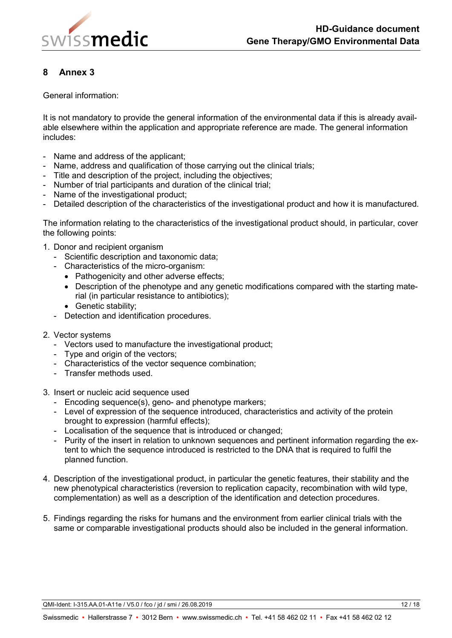

<span id="page-11-0"></span>General information:

It is not mandatory to provide the general information of the environmental data if this is already available elsewhere within the application and appropriate reference are made. The general information includes:

- Name and address of the applicant;
- Name, address and qualification of those carrying out the clinical trials;
- Title and description of the project, including the objectives;
- Number of trial participants and duration of the clinical trial;
- Name of the investigational product;
- Detailed description of the characteristics of the investigational product and how it is manufactured.

The information relating to the characteristics of the investigational product should, in particular, cover the following points:

- 1. Donor and recipient organism
	- Scientific description and taxonomic data;
	- Characteristics of the micro-organism:
		- Pathogenicity and other adverse effects:
		- Description of the phenotype and any genetic modifications compared with the starting material (in particular resistance to antibiotics);
		- Genetic stability;
	- Detection and identification procedures.
- 2. Vector systems
	- Vectors used to manufacture the investigational product;
	- Type and origin of the vectors;
	- Characteristics of the vector sequence combination;
	- Transfer methods used.
- 3. Insert or nucleic acid sequence used
	- Encoding sequence(s), geno- and phenotype markers;
	- Level of expression of the sequence introduced, characteristics and activity of the protein brought to expression (harmful effects);
	- Localisation of the sequence that is introduced or changed;
	- Purity of the insert in relation to unknown sequences and pertinent information regarding the extent to which the sequence introduced is restricted to the DNA that is required to fulfil the planned function.
- 4. Description of the investigational product, in particular the genetic features, their stability and the new phenotypical characteristics (reversion to replication capacity, recombination with wild type, complementation) as well as a description of the identification and detection procedures.
- 5. Findings regarding the risks for humans and the environment from earlier clinical trials with the same or comparable investigational products should also be included in the general information.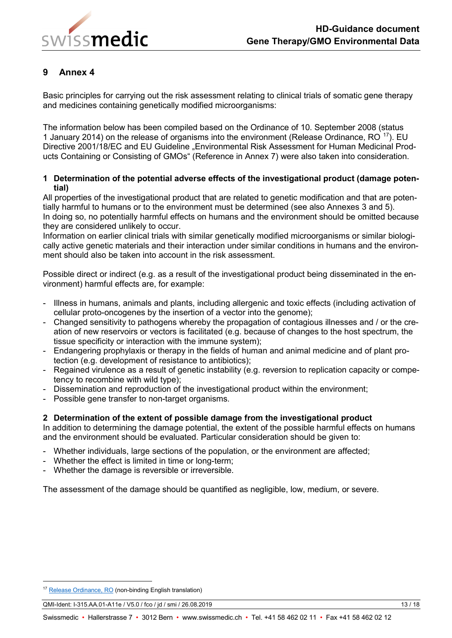

<span id="page-12-0"></span>Basic principles for carrying out the risk assessment relating to clinical trials of somatic gene therapy and medicines containing genetically modified microorganisms:

The information below has been compiled based on the Ordinance of 10. September 2008 (status 1 January 2014) on the release of organisms into the environment (Release Ordinance,  $RO^{17}$ ). EU Directive 2001/18/EC and EU Guideline . Environmental Risk Assessment for Human Medicinal Products Containing or Consisting of GMOs" (Reference in [Annex 7\)](file://adb.intra.admin.ch/Userhome$/SMC-01/X10190171/config/Desktop/Bearbeitung%20QMI/I-315.AA.01-A11e_Wegleitung_Gentherapie_GVO_Umweltdaten-alt.docx#_Annexe_7) were also taken into consideration.

### **1 Determination of the potential adverse effects of the investigational product (damage potential)**

All properties of the investigational product that are related to genetic modification and that are potentially harmful to humans or to the environment must be determined (see also Annexes [3](file://adb.intra.admin.ch/Userhome$/SMC-01/X10190171/config/Desktop/Bearbeitung%20QMI/I-315.AA.01-A11e_Wegleitung_Gentherapie_GVO_Umweltdaten-alt.docx#anhang3) and [5\)](file://adb.intra.admin.ch/Userhome$/SMC-01/X10190171/config/Desktop/Bearbeitung%20QMI/I-315.AA.01-A11e_Wegleitung_Gentherapie_GVO_Umweltdaten-alt.docx#anhang5). In doing so, no potentially harmful effects on humans and the environment should be omitted because they are considered unlikely to occur.

Information on earlier clinical trials with similar genetically modified microorganisms or similar biologically active genetic materials and their interaction under similar conditions in humans and the environment should also be taken into account in the risk assessment.

Possible direct or indirect (e.g. as a result of the investigational product being disseminated in the environment) harmful effects are, for example:

- Illness in humans, animals and plants, including allergenic and toxic effects (including activation of cellular proto-oncogenes by the insertion of a vector into the genome);
- Changed sensitivity to pathogens whereby the propagation of contagious illnesses and / or the creation of new reservoirs or vectors is facilitated (e.g. because of changes to the host spectrum, the tissue specificity or interaction with the immune system);
- Endangering prophylaxis or therapy in the fields of human and animal medicine and of plant protection (e.g. development of resistance to antibiotics);
- Regained virulence as a result of genetic instability (e.g. reversion to replication capacity or competency to recombine with wild type);
- Dissemination and reproduction of the investigational product within the environment;
- Possible gene transfer to non-target organisms.

### **2 Determination of the extent of possible damage from the investigational product**

In addition to determining the damage potential, the extent of the possible harmful effects on humans and the environment should be evaluated. Particular consideration should be given to:

- Whether individuals, large sections of the population, or the environment are affected;
- Whether the effect is limited in time or long-term;
- Whether the damage is reversible or irreversible.

The assessment of the damage should be quantified as negligible, low, medium, or severe.

<span id="page-12-1"></span><sup>&</sup>lt;sup>17</sup> [Release Ordinance, RO](http://www.admin.ch/opc/en/classified-compilation/20062651/index.html) (non-binding English translation)

QMI-Ident: I-315.AA.01-A11e / V5.0 / fco / jd / smi / 26.08.2019 13 / 18 / 13 / 18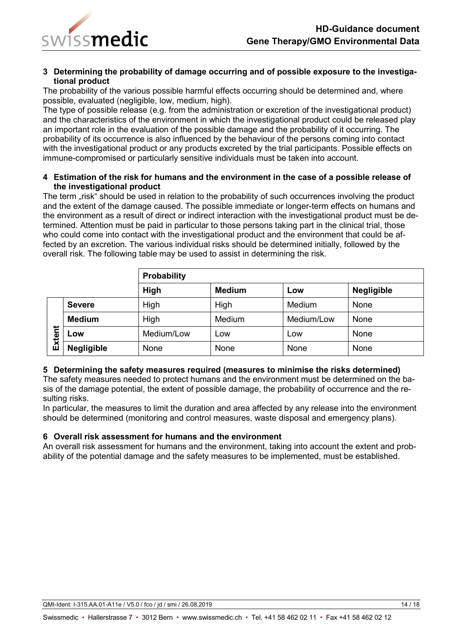

#### **3 Determining the probability of damage occurring and of possible exposure to the investigational product**

The probability of the various possible harmful effects occurring should be determined and, where possible, evaluated (negligible, low, medium, high).

The type of possible release (e.g. from the administration or excretion of the investigational product) and the characteristics of the environment in which the investigational product could be released play an important role in the evaluation of the possible damage and the probability of it occurring. The probability of its occurrence is also influenced by the behaviour of the persons coming into contact with the investigational product or any products excreted by the trial participants. Possible effects on immune-compromised or particularly sensitive individuals must be taken into account.

### **4 Estimation of the risk for humans and the environment in the case of a possible release of the investigational product**

The term "risk" should be used in relation to the probability of such occurrences involving the product and the extent of the damage caused. The possible immediate or longer-term effects on humans and the environment as a result of direct or indirect interaction with the investigational product must be determined. Attention must be paid in particular to those persons taking part in the clinical trial, those who could come into contact with the investigational product and the environment that could be affected by an excretion. The various individual risks should be determined initially, followed by the overall risk. The following table may be used to assist in determining the risk.

|        |                   | <b>Probability</b> |               |            |                   |  |  |
|--------|-------------------|--------------------|---------------|------------|-------------------|--|--|
|        |                   | High               | <b>Medium</b> | Low        | <b>Negligible</b> |  |  |
|        | <b>Severe</b>     | High               | High          | Medium     | None              |  |  |
|        | <b>Medium</b>     | High               | Medium        | Medium/Low | None              |  |  |
| Extent | LOW               | Medium/Low         | Low           | Low        | None              |  |  |
|        | <b>Negligible</b> | None               | None          | None       | None              |  |  |

### **5 Determining the safety measures required (measures to minimise the risks determined)**

The safety measures needed to protect humans and the environment must be determined on the basis of the damage potential, the extent of possible damage, the probability of occurrence and the resulting risks.

In particular, the measures to limit the duration and area affected by any release into the environment should be determined (monitoring and control measures, waste disposal and emergency plans).

#### **6 Overall risk assessment for humans and the environment**

An overall risk assessment for humans and the environment, taking into account the extent and probability of the potential damage and the safety measures to be implemented, must be established.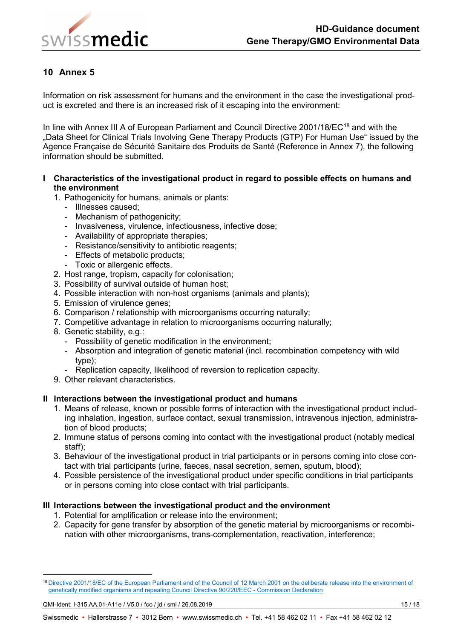

<span id="page-14-0"></span>Information on risk assessment for humans and the environment in the case the investigational product is excreted and there is an increased risk of it escaping into the environment:

In line with Annex III A of European Parliament and Council Directive 2001/[18](#page-14-1)/EC<sup>18</sup> and with the "Data Sheet for Clinical Trials Involving Gene Therapy Products (GTP) For Human Use" issued by the Agence Française de Sécurité Sanitaire des Produits de Santé (Reference in Annex 7), the following information should be submitted.

### **I Characteristics of the investigational product in regard to possible effects on humans and the environment**

1. Pathogenicity for humans, animals or plants:

- Illnesses caused;
- Mechanism of pathogenicity;
- Invasiveness, virulence, infectiousness, infective dose;
- Availability of appropriate therapies;
- Resistance/sensitivity to antibiotic reagents;
- Effects of metabolic products;
- Toxic or allergenic effects.
- 2. Host range, tropism, capacity for colonisation;
- 3. Possibility of survival outside of human host;
- 4. Possible interaction with non-host organisms (animals and plants);
- 5. Emission of virulence genes;
- 6. Comparison / relationship with microorganisms occurring naturally;
- 7. Competitive advantage in relation to microorganisms occurring naturally;
- 8. Genetic stability, e.g.:
	- Possibility of genetic modification in the environment;
	- Absorption and integration of genetic material (incl. recombination competency with wild type);
	- Replication capacity, likelihood of reversion to replication capacity.
- 9. Other relevant characteristics.

### **II Interactions between the investigational product and humans**

- 1. Means of release, known or possible forms of interaction with the investigational product including inhalation, ingestion, surface contact, sexual transmission, intravenous injection, administration of blood products;
- 2. Immune status of persons coming into contact with the investigational product (notably medical staff);
- 3. Behaviour of the investigational product in trial participants or in persons coming into close contact with trial participants (urine, faeces, nasal secretion, semen, sputum, blood);
- 4. Possible persistence of the investigational product under specific conditions in trial participants or in persons coming into close contact with trial participants.

### **III Interactions between the investigational product and the environment**

- 1. Potential for amplification or release into the environment;
- 2. Capacity for gene transfer by absorption of the genetic material by microorganisms or recombination with other microorganisms, trans-complementation, reactivation, interference;

<span id="page-14-1"></span><sup>&</sup>lt;sup>18</sup> Directive 2001/18/EC of the European Parliament and of the Council of 12 March 2001 on the deliberate release into the environment of [genetically modified organisms and repealing Council Directive 90/220/EEC -](https://eur-lex.europa.eu/legal-content/EN/TXT/HTML/?uri=CELEX:32001L0018&from=en) Commission Declaration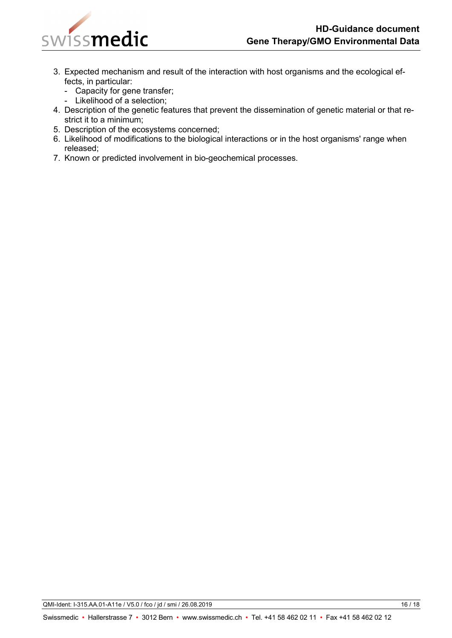

- 3. Expected mechanism and result of the interaction with host organisms and the ecological effects, in particular:
	- Capacity for gene transfer;
	- Likelihood of a selection;
- 4. Description of the genetic features that prevent the dissemination of genetic material or that restrict it to a minimum;
- 5. Description of the ecosystems concerned;
- 6. Likelihood of modifications to the biological interactions or in the host organisms' range when released;
- 7. Known or predicted involvement in bio-geochemical processes.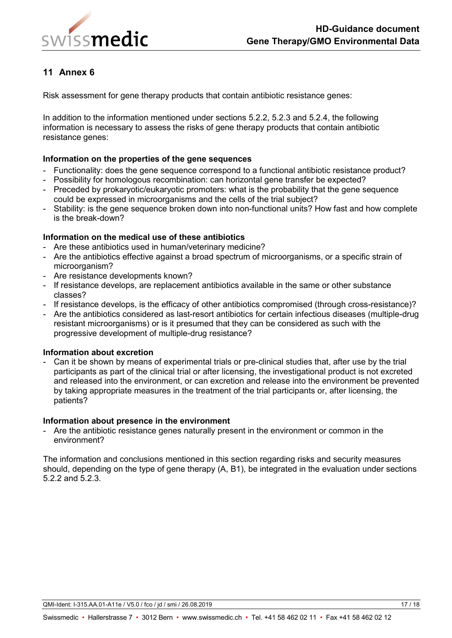

<span id="page-16-0"></span>Risk assessment for gene therapy products that contain antibiotic resistance genes:

In addition to the information mentioned under sections 5.2.2, 5.2.3 and 5.2.4, the following information is necessary to assess the risks of gene therapy products that contain antibiotic resistance genes:

### **Information on the properties of the gene sequences**

- Functionality: does the gene sequence correspond to a functional antibiotic resistance product?
- Possibility for homologous recombination: can horizontal gene transfer be expected?
- Preceded by prokaryotic/eukaryotic promoters: what is the probability that the gene sequence could be expressed in microorganisms and the cells of the trial subject?
- Stability: is the gene sequence broken down into non-functional units? How fast and how complete is the break-down?

### **Information on the medical use of these antibiotics**

- Are these antibiotics used in human/veterinary medicine?
- Are the antibiotics effective against a broad spectrum of microorganisms, or a specific strain of microorganism?
- Are resistance developments known?
- If resistance develops, are replacement antibiotics available in the same or other substance classes?
- If resistance develops, is the efficacy of other antibiotics compromised (through cross-resistance)?
- Are the antibiotics considered as last-resort antibiotics for certain infectious diseases (multiple-drug resistant microorganisms) or is it presumed that they can be considered as such with the progressive development of multiple-drug resistance?

#### **Information about excretion**

- Can it be shown by means of experimental trials or pre-clinical studies that, after use by the trial participants as part of the clinical trial or after licensing, the investigational product is not excreted and released into the environment, or can excretion and release into the environment be prevented by taking appropriate measures in the treatment of the trial participants or, after licensing, the patients?

#### **Information about presence in the environment**

- Are the antibiotic resistance genes naturally present in the environment or common in the environment?

The information and conclusions mentioned in this section regarding risks and security measures should, depending on the type of gene therapy (A, B1), be integrated in the evaluation under sections 5.2.2 and 5.2.3.